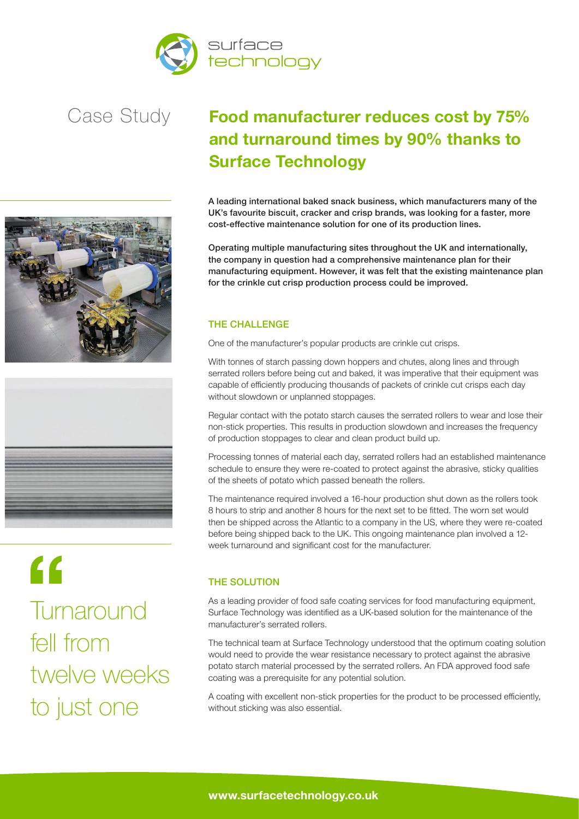





 $\epsilon$ **Turnaround** fell from twelve weeks to just one

# **Food manufacturer reduces cost by 75% and turnaround times by 90% thanks to Surface Technology**

A leading international baked snack business, which manufacturers many of the UK's favourite biscuit, cracker and crisp brands, was looking for a faster, more cost-effective maintenance solution for one of its production lines.

Operating multiple manufacturing sites throughout the UK and internationally, the company in question had a comprehensive maintenance plan for their manufacturing equipment. However, it was felt that the existing maintenance plan for the crinkle cut crisp production process could be improved.

# THE CHALLENGE

One of the manufacturer's popular products are crinkle cut crisps.

With tonnes of starch passing down hoppers and chutes, along lines and through serrated rollers before being cut and baked, it was imperative that their equipment was capable of efficiently producing thousands of packets of crinkle cut crisps each day without slowdown or unplanned stoppages.

Regular contact with the potato starch causes the serrated rollers to wear and lose their non-stick properties. This results in production slowdown and increases the frequency of production stoppages to clear and clean product build up.

Processing tonnes of material each day, serrated rollers had an established maintenance schedule to ensure they were re-coated to protect against the abrasive, sticky qualities of the sheets of potato which passed beneath the rollers.

The maintenance required involved a 16-hour production shut down as the rollers took 8 hours to strip and another 8 hours for the next set to be fitted. The worn set would then be shipped across the Atlantic to a company in the US, where they were re-coated before being shipped back to the UK. This ongoing maintenance plan involved a 12 week turnaround and significant cost for the manufacturer.

## THE SOLUTION

As a leading provider of food safe coating services for food manufacturing equipment, Surface Technology was identified as a UK-based solution for the maintenance of the manufacturer's serrated rollers.

The technical team at Surface Technology understood that the optimum coating solution would need to provide the wear resistance necessary to protect against the abrasive potato starch material processed by the serrated rollers. An FDA approved food safe coating was a prerequisite for any potential solution.

A coating with excellent non-stick properties for the product to be processed efficiently, without sticking was also essential.